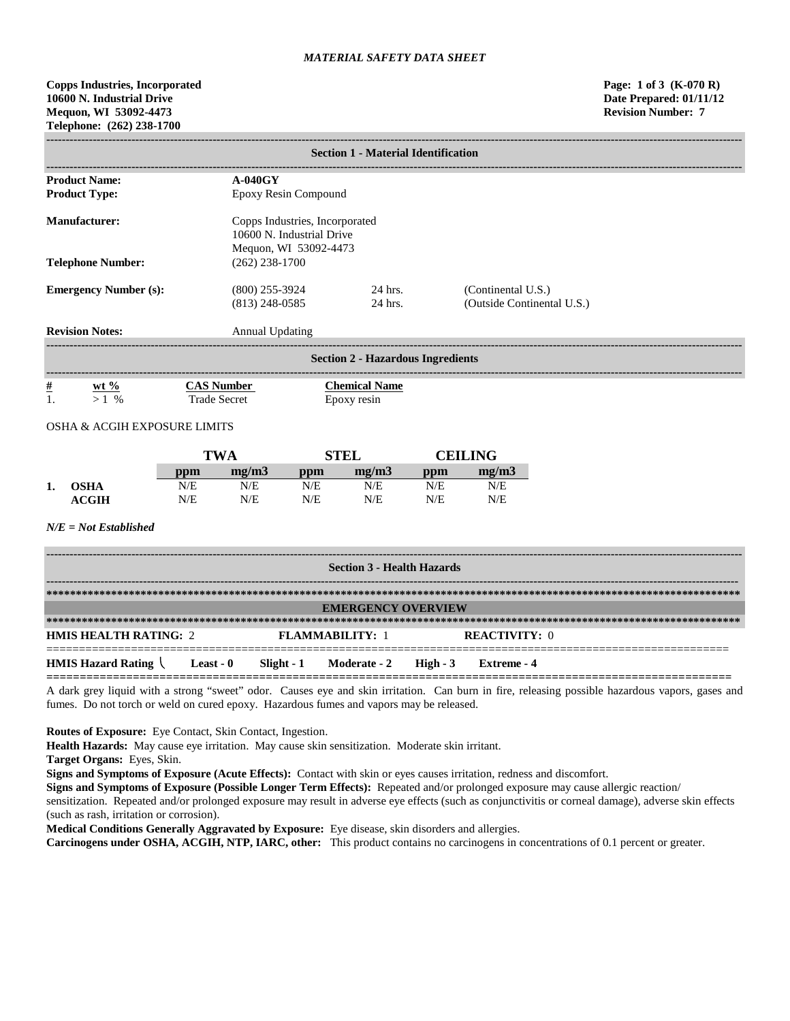**Copps Industries, Incorporated Page: 1 of 3 (K-070 R) 10600 N. Industrial Drive Date Prepared: 01/11/12 Mequon, WI 53092-4473 Revision Number: 7 Telephone: (262) 238-1700**

| <b>Section 1 - Material Identification</b>   |                                          |                                                                                      |                                                  |  |  |  |  |
|----------------------------------------------|------------------------------------------|--------------------------------------------------------------------------------------|--------------------------------------------------|--|--|--|--|
|                                              |                                          |                                                                                      |                                                  |  |  |  |  |
| <b>Product Name:</b><br><b>Product Type:</b> |                                          | $A-040GY$<br>Epoxy Resin Compound                                                    |                                                  |  |  |  |  |
| Manufacturer:                                |                                          | Copps Industries, Incorporated<br>10600 N. Industrial Drive<br>Mequon, WI 53092-4473 |                                                  |  |  |  |  |
| <b>Telephone Number:</b>                     | $(262)$ 238-1700                         |                                                                                      |                                                  |  |  |  |  |
| <b>Emergency Number (s):</b>                 | $(800)$ 255-3924<br>$(813)$ 248-0585     | 24 hrs.<br>24 hrs.                                                                   | (Continental U.S.)<br>(Outside Continental U.S.) |  |  |  |  |
| <b>Revision Notes:</b>                       | <b>Annual Updating</b>                   |                                                                                      |                                                  |  |  |  |  |
|                                              |                                          | <b>Section 2 - Hazardous Ingredients</b>                                             |                                                  |  |  |  |  |
| $\frac{\#}{1}$<br>$wt \%$<br>$>1\%$          | <b>CAS Number</b><br><b>Trade Secret</b> | <b>Chemical Name</b><br>Epoxy resin                                                  |                                                  |  |  |  |  |

# OSHA & ACGIH EXPOSURE LIMITS

|    |                  |     | <b>TWA</b> |     | STEL  | CEILING |       |
|----|------------------|-----|------------|-----|-------|---------|-------|
|    |                  | ppm | me/m3      | ppm | me/m3 | ppm     | me/m3 |
| 1. | <b>OSHA</b>      | N/E | N/E        | N/E | N/E   | N/E     | N/E   |
|    | $\mathbf{ACGIH}$ | N/E | N/E        | N/E | N/E   | N/E     | N/E   |

#### *N/E = Not Established*

| <b>Section 3 - Health Hazards</b> |           |  |                                  |  |                      |  |
|-----------------------------------|-----------|--|----------------------------------|--|----------------------|--|
|                                   |           |  |                                  |  |                      |  |
| <b>EMERGENCY OVERVIEW</b>         |           |  |                                  |  |                      |  |
|                                   |           |  |                                  |  |                      |  |
| <b>HMIS HEALTH RATING: 2</b>      |           |  | <b>FLAMMABILITY: 1</b>           |  | <b>REACTIVITY: 0</b> |  |
| <b>HMIS Hazard Rating</b>         | Least - 0 |  | Slight - 1 Moderate - 2 High - 3 |  | Extreme - 4          |  |

A dark grey liquid with a strong "sweet" odor. Causes eye and skin irritation. Can burn in fire, releasing possible hazardous vapors, gases and fumes. Do not torch or weld on cured epoxy. Hazardous fumes and vapors may be released.

**Routes of Exposure:** Eye Contact, Skin Contact, Ingestion.

**Health Hazards:** May cause eye irritation. May cause skin sensitization. Moderate skin irritant.

**Target Organs:** Eyes, Skin.

**Signs and Symptoms of Exposure (Acute Effects):** Contact with skin or eyes causes irritation, redness and discomfort.

**Signs and Symptoms of Exposure (Possible Longer Term Effects):** Repeated and/or prolonged exposure may cause allergic reaction/ sensitization. Repeated and/or prolonged exposure may result in adverse eye effects (such as conjunctivitis or corneal damage), adverse skin effects

(such as rash, irritation or corrosion).

**Medical Conditions Generally Aggravated by Exposure:** Eye disease, skin disorders and allergies.

**Carcinogens under OSHA, ACGIH, NTP, IARC, other:** This product contains no carcinogens in concentrations of 0.1 percent or greater.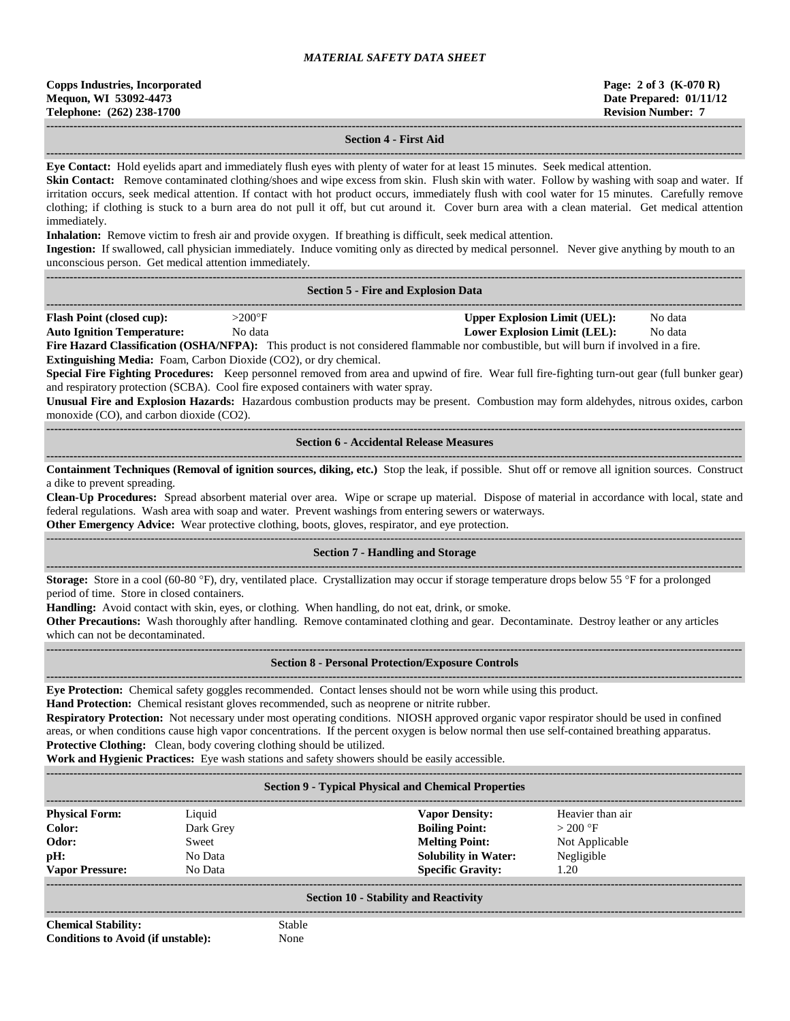| <b>Copps Industries, Incorporated</b> |
|---------------------------------------|
| Mequon, WI 53092-4473                 |
| Telephone: (262) 238-1700             |

#### **------------------------------------------------------------------------------------------------------------------------------------------------------------------------------------ Section 4 - First Aid**

**------------------------------------------------------------------------------------------------------------------------------------------------------------------------------------ Eye Contact:** Hold eyelids apart and immediately flush eyes with plenty of water for at least 15 minutes. Seek medical attention.

**Skin Contact:** Remove contaminated clothing/shoes and wipe excess from skin. Flush skin with water. Follow by washing with soap and water. If irritation occurs, seek medical attention. If contact with hot product occurs, immediately flush with cool water for 15 minutes. Carefully remove clothing; if clothing is stuck to a burn area do not pull it off, but cut around it. Cover burn area with a clean material. Get medical attention immediately.

**Inhalation:** Remove victim to fresh air and provide oxygen. If breathing is difficult, seek medical attention.

**Ingestion:** If swallowed, call physician immediately. Induce vomiting only as directed by medical personnel. Never give anything by mouth to an unconscious person. Get medical attention immediately.

#### **------------------------------------------------------------------------------------------------------------------------------------------------------------------------------------ Section 5 - Fire and Explosion Data**

| <b>Flash Point</b><br>. cup):<br>(closed | $>200$ °      | Explosion Limit (UEL).<br> nner | Nο<br>o data<br>. |  |
|------------------------------------------|---------------|---------------------------------|-------------------|--|
| .                                        | $\sim$ $\sim$ | -------                         | $\sim$ $\sim$     |  |

**Auto Ignition Temperature:** No data **Lower Explosion Limit (LEL):** No data **Fire Hazard Classification (OSHA/NFPA):** This product is not considered flammable nor combustible, but will burn if involved in a fire. **Extinguishing Media:** Foam, Carbon Dioxide (CO2), or dry chemical.

**Special Fire Fighting Procedures:** Keep personnel removed from area and upwind of fire. Wear full fire-fighting turn-out gear (full bunker gear) and respiratory protection (SCBA). Cool fire exposed containers with water spray.

**Unusual Fire and Explosion Hazards:** Hazardous combustion products may be present. Combustion may form aldehydes, nitrous oxides, carbon monoxide (CO), and carbon dioxide (CO2).

**------------------------------------------------------------------------------------------------------------------------------------------------------------------------------------ Section 6 - Accidental Release Measures**

**------------------------------------------------------------------------------------------------------------------------------------------------------------------------------------ Containment Techniques (Removal of ignition sources, diking, etc.)** Stop the leak, if possible. Shut off or remove all ignition sources. Construct a dike to prevent spreading.

**Clean-Up Procedures:** Spread absorbent material over area. Wipe or scrape up material. Dispose of material in accordance with local, state and federal regulations. Wash area with soap and water. Prevent washings from entering sewers or waterways.

**Other Emergency Advice:** Wear protective clothing, boots, gloves, respirator, and eye protection.

#### ------------------------------------------------------------------------------------------------------------------------------------------------------------------------------------ **Section 7 - Handling and Storage**

**------------------------------------------------------------------------------------------------------------------------------------------------------------------------------------ Storage:** Store in a cool (60-80 °F), dry, ventilated place. Crystallization may occur if storage temperature drops below 55 °F for a prolonged period of time. Store in closed containers.

**Handling:** Avoid contact with skin, eyes, or clothing. When handling, do not eat, drink, or smoke.

**Other Precautions:** Wash thoroughly after handling. Remove contaminated clothing and gear. Decontaminate. Destroy leather or any articles which can not be decontaminated.

**------------------------------------------------------------------------------------------------------------------------------------------------------------------------------------**

#### **------------------------------------------------------------------------------------------------------------------------------------------------------------------------------------ Section 8 - Personal Protection/Exposure Controls**

**Eye Protection:** Chemical safety goggles recommended. Contact lenses should not be worn while using this product.

**Hand Protection:** Chemical resistant gloves recommended, such as neoprene or nitrite rubber.

**Respiratory Protection:** Not necessary under most operating conditions. NIOSH approved organic vapor respirator should be used in confined areas, or when conditions cause high vapor concentrations. If the percent oxygen is below normal then use self-contained breathing apparatus. **Protective Clothing:** Clean, body covering clothing should be utilized.

**Work and Hygienic Practices:** Eye wash stations and safety showers should be easily accessible.

**------------------------------------------------------------------------------------------------------------------------------------------------------------------------------------**

#### **Section 9 - Typical Physical and Chemical Properties**

| <b>Physical Form:</b>  | Liquid    | <b>Vapor Density:</b>       | Heavier than air |
|------------------------|-----------|-----------------------------|------------------|
| Color:                 | Dark Grey | <b>Boiling Point:</b>       | $>200$ °F        |
| Odor:                  | Sweet     | <b>Melting Point:</b>       | Not Applicable   |
| pH:                    | No Data   | <b>Solubility in Water:</b> | Negligible       |
| <b>Vapor Pressure:</b> | No Data   | <b>Specific Gravity:</b>    | 1.20             |
|                        |           |                             |                  |

#### **Section 10 - Stability and Reactivity ------------------------------------------------------------------------------------------------------------------------------------------------------------------------------------**

**Chemical Stability:** Stable **Conditions to Avoid (if unstable):** None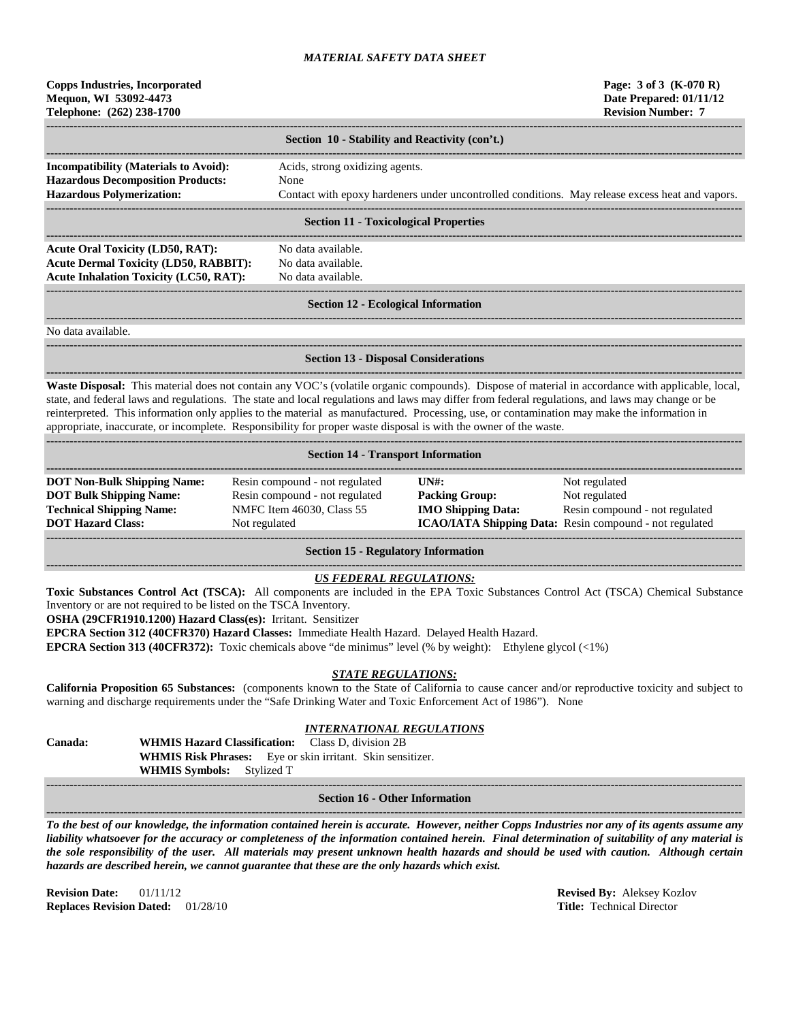| <b>Copps Industries, Incorporated</b> |
|---------------------------------------|
| Mequon, WI 53092-4473                 |
| Telephone: (262) 238-1700             |

|                                                                                          | Section 10 - Stability and Reactivity (con't.)                                                  |  |  |
|------------------------------------------------------------------------------------------|-------------------------------------------------------------------------------------------------|--|--|
| <b>Incompatibility (Materials to Avoid):</b><br><b>Hazardous Decomposition Products:</b> | Acids, strong oxidizing agents.<br>None                                                         |  |  |
| <b>Hazardous Polymerization:</b>                                                         | Contact with epoxy hardeners under uncontrolled conditions. May release excess heat and vapors. |  |  |
| Section 11 - Tovicological Properties                                                    |                                                                                                 |  |  |

#### **Section 11 - Toxicological Properties**

**------------------------------------------------------------------------------------------------------------------------------------------------------------------------------------ Acute Oral Toxicity (LD50, RAT):** No data available. **Acute Dermal Toxicity (LD50, RABBIT):** No data available. **Acute Inhalation Toxicity (LC50, RAT):** No data available.

**------------------------------------------------------------------------------------------------------------------------------------------------------------------------------------**

# ------------------------------------------------------------------------------------------------------------------------------------------------------------------------------------

#### **Section 12 - Ecological Information**

**------------------------------------------------------------------------------------------------------------------------------------------------------------------------------------**

**------------------------------------------------------------------------------------------------------------------------------------------------------------------------------------**

No data available.

# **Section 13 - Disposal Considerations**

**------------------------------------------------------------------------------------------------------------------------------------------------------------------------------------ Waste Disposal:** This material does not contain any VOC's (volatile organic compounds). Dispose of material in accordance with applicable, local, state, and federal laws and regulations. The state and local regulations and laws may differ from federal regulations, and laws may change or be reinterpreted. This information only applies to the material as manufactured. Processing, use, or contamination may make the information in appropriate, inaccurate, or incomplete. Responsibility for proper waste disposal is with the owner of the waste.

| <b>Section 14 - Transport Information</b> |                                |                                                |                                                                |  |  |
|-------------------------------------------|--------------------------------|------------------------------------------------|----------------------------------------------------------------|--|--|
|                                           |                                |                                                |                                                                |  |  |
| <b>DOT Non-Bulk Shipping Name:</b>        | Resin compound - not regulated | $\overline{I}$ $\overline{N}$ $\overline{H}$ : | Not regulated                                                  |  |  |
| <b>DOT Bulk Shipping Name:</b>            | Resin compound - not regulated | <b>Packing Group:</b>                          | Not regulated                                                  |  |  |
| <b>Technical Shipping Name:</b>           | NMFC Item 46030, Class 55      | <b>IMO Shipping Data:</b>                      | Resin compound - not regulated                                 |  |  |
| <b>DOT Hazard Class:</b>                  | Not regulated                  |                                                | <b>ICAO/IATA Shipping Data:</b> Resin compound - not regulated |  |  |
|                                           |                                |                                                |                                                                |  |  |
|                                           |                                |                                                |                                                                |  |  |

**Section 15 - Regulatory Information**

# *US FEDERAL REGULATIONS:*

**Toxic Substances Control Act (TSCA):** All components are included in the EPA Toxic Substances Control Act (TSCA) Chemical Substance Inventory or are not required to be listed on the TSCA Inventory.

**OSHA (29CFR1910.1200) Hazard Class(es):** Irritant. Sensitizer

**EPCRA Section 312 (40CFR370) Hazard Classes:** Immediate Health Hazard. Delayed Health Hazard.

**EPCRA Section 313 (40CFR372):** Toxic chemicals above "de minimus" level (% by weight): Ethylene glycol (<1%)

# *STATE REGULATIONS:*

**California Proposition 65 Substances:** (components known to the State of California to cause cancer and/or reproductive toxicity and subject to warning and discharge requirements under the "Safe Drinking Water and Toxic Enforcement Act of 1986"). None

# *INTERNATIONAL REGULATIONS*

**Canada: WHMIS Hazard Classification:** Class D, division 2B **WHMIS Risk Phrases:** Eye or skin irritant. Skin sensitizer. **WHMIS Symbols:** Stylized T

#### **------------------------------------------------------------------------------------------------------------------------------------------------------------------------------------ Section 16 - Other Information**

**------------------------------------------------------------------------------------------------------------------------------------------------------------------------------------** *To the best of our knowledge, the information contained herein is accurate. However, neither Copps Industries nor any of its agents assume any liability whatsoever for the accuracy or completeness of the information contained herein. Final determination of suitability of any material is the sole responsibility of the user. All materials may present unknown health hazards and should be used with caution. Although certain hazards are described herein, we cannot guarantee that these are the only hazards which exist.*

**Revision Date:** 01/11/12 **Revised By:** Aleksey Kozlov **Replaces Revision Dated:** 01/28/10 **Title:** Technical Director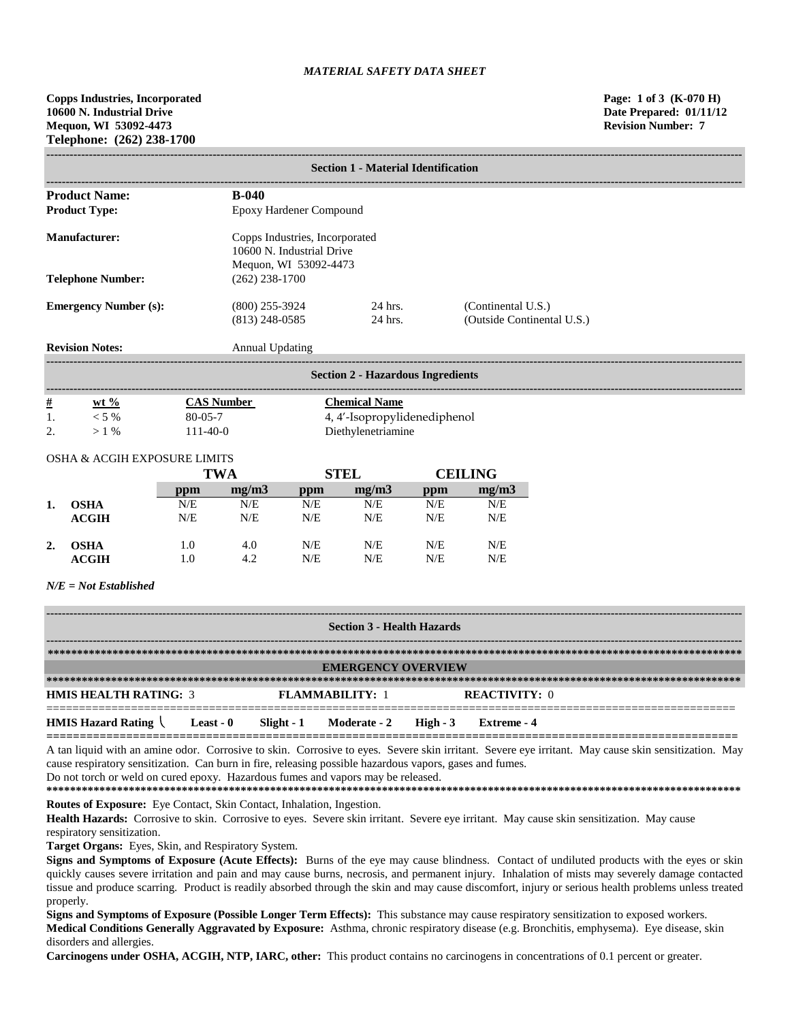**Copps Industries, Incorporated Page: 1 of 3 (K-070 H) 10600 N. Industrial Drive Date Prepared: 01/11/12 Mequon, WI 53092-4473 Revision Number: 7 Telephone: (262) 238-1700**

|                | <b>Section 1 - Material Identification</b> |               |                                                                                      |                         |                                          |           |                      |                            |  |
|----------------|--------------------------------------------|---------------|--------------------------------------------------------------------------------------|-------------------------|------------------------------------------|-----------|----------------------|----------------------------|--|
|                | <b>Product Name:</b>                       |               | $B-040$                                                                              |                         |                                          |           |                      |                            |  |
|                | <b>Product Type:</b>                       |               |                                                                                      | Epoxy Hardener Compound |                                          |           |                      |                            |  |
|                | <b>Manufacturer:</b>                       |               | Copps Industries, Incorporated<br>10600 N. Industrial Drive<br>Mequon, WI 53092-4473 |                         |                                          |           |                      |                            |  |
|                | <b>Telephone Number:</b>                   |               | $(262)$ 238-1700                                                                     |                         |                                          |           |                      |                            |  |
|                | <b>Emergency Number (s):</b>               |               | $(800)$ 255-3924<br>$(813)$ 248-0585                                                 |                         | 24 hrs.<br>24 hrs.                       |           | (Continental U.S.)   | (Outside Continental U.S.) |  |
|                | <b>Revision Notes:</b>                     |               | <b>Annual Updating</b>                                                               |                         |                                          |           |                      |                            |  |
|                |                                            |               |                                                                                      |                         | <b>Section 2 - Hazardous Ingredients</b> |           |                      |                            |  |
| $\frac{\#}{2}$ | wt $%$                                     |               | <b>CAS Number</b>                                                                    |                         | <b>Chemical Name</b>                     |           |                      |                            |  |
| 1.             | $< 5\%$                                    | $80 - 05 - 7$ |                                                                                      |                         | 4, 4'-Isopropylidenediphenol             |           |                      |                            |  |
| 2.             | $>1\%$                                     | $111-40-0$    |                                                                                      |                         | Diethylenetriamine                       |           |                      |                            |  |
|                | <b>OSHA &amp; ACGIH EXPOSURE LIMITS</b>    |               |                                                                                      |                         |                                          |           |                      |                            |  |
|                |                                            |               | <b>TWA</b>                                                                           |                         | <b>STEL</b>                              |           | <b>CEILING</b>       |                            |  |
|                |                                            | ppm           | mg/m3                                                                                | ppm                     | mg/m3                                    | ppm       | mg/m3                |                            |  |
| 1.             | <b>OSHA</b>                                | N/E           | N/E                                                                                  | N/E                     | N/E                                      | N/E       | N/E                  |                            |  |
|                | <b>ACGIH</b>                               | N/E           | N/E                                                                                  | N/E                     | N/E                                      | N/E       | N/E                  |                            |  |
| 2.             | <b>OSHA</b>                                | 1.0           | 4.0                                                                                  | N/E                     | N/E                                      | N/E       | N/E                  |                            |  |
|                | <b>ACGIH</b>                               | 1.0           | 4.2                                                                                  | N/E                     | N/E                                      | N/E       | N/E                  |                            |  |
|                | $N/E = Not$ Established                    |               |                                                                                      |                         |                                          |           |                      |                            |  |
|                |                                            |               |                                                                                      |                         |                                          |           |                      |                            |  |
|                |                                            |               |                                                                                      |                         | <b>Section 3 - Health Hazards</b>        |           |                      |                            |  |
|                |                                            |               |                                                                                      |                         |                                          |           |                      |                            |  |
|                |                                            |               |                                                                                      |                         | <b>EMERGENCY OVERVIEW</b>                |           |                      |                            |  |
|                | <b>HMIS HEALTH RATING: 3</b>               |               |                                                                                      | <b>FLAMMABILITY: 1</b>  |                                          |           | <b>REACTIVITY: 0</b> |                            |  |
|                | <b>HMIS Hazard Rating</b>                  | Least - $0$   | $Slight - 1$                                                                         |                         | Moderate - 2                             | High $-3$ | <b>Extreme</b> - 4   |                            |  |

**========================================================================================================** A tan liquid with an amine odor. Corrosive to skin. Corrosive to eyes. Severe skin irritant. Severe eye irritant. May cause skin sensitization. May cause respiratory sensitization. Can burn in fire, releasing possible hazardous vapors, gases and fumes. Do not torch or weld on cured epoxy. Hazardous fumes and vapors may be released.

**\*\*\*\*\*\*\*\*\*\*\*\*\*\*\*\*\*\*\*\*\*\*\*\*\*\*\*\*\*\*\*\*\*\*\*\*\*\*\*\*\*\*\*\*\*\*\*\*\*\*\*\*\*\*\*\*\*\*\*\*\*\*\*\*\*\*\*\*\*\*\*\*\*\*\*\*\*\*\*\*\*\*\*\*\*\*\*\*\*\*\*\*\*\*\*\*\*\*\*\*\*\*\*\*\*\*\*\*\*\*\*\*\*\*\*\*\*\***

**Routes of Exposure:** Eye Contact, Skin Contact, Inhalation, Ingestion.

**Health Hazards:** Corrosive to skin. Corrosive to eyes. Severe skin irritant. Severe eye irritant. May cause skin sensitization. May cause respiratory sensitization.

**Target Organs:** Eyes, Skin, and Respiratory System.

**Signs and Symptoms of Exposure (Acute Effects):** Burns of the eye may cause blindness. Contact of undiluted products with the eyes or skin quickly causes severe irritation and pain and may cause burns, necrosis, and permanent injury. Inhalation of mists may severely damage contacted tissue and produce scarring. Product is readily absorbed through the skin and may cause discomfort, injury or serious health problems unless treated properly.

**Signs and Symptoms of Exposure (Possible Longer Term Effects):** This substance may cause respiratory sensitization to exposed workers. **Medical Conditions Generally Aggravated by Exposure:** Asthma, chronic respiratory disease (e.g. Bronchitis, emphysema). Eye disease, skin disorders and allergies.

**Carcinogens under OSHA, ACGIH, NTP, IARC, other:** This product contains no carcinogens in concentrations of 0.1 percent or greater.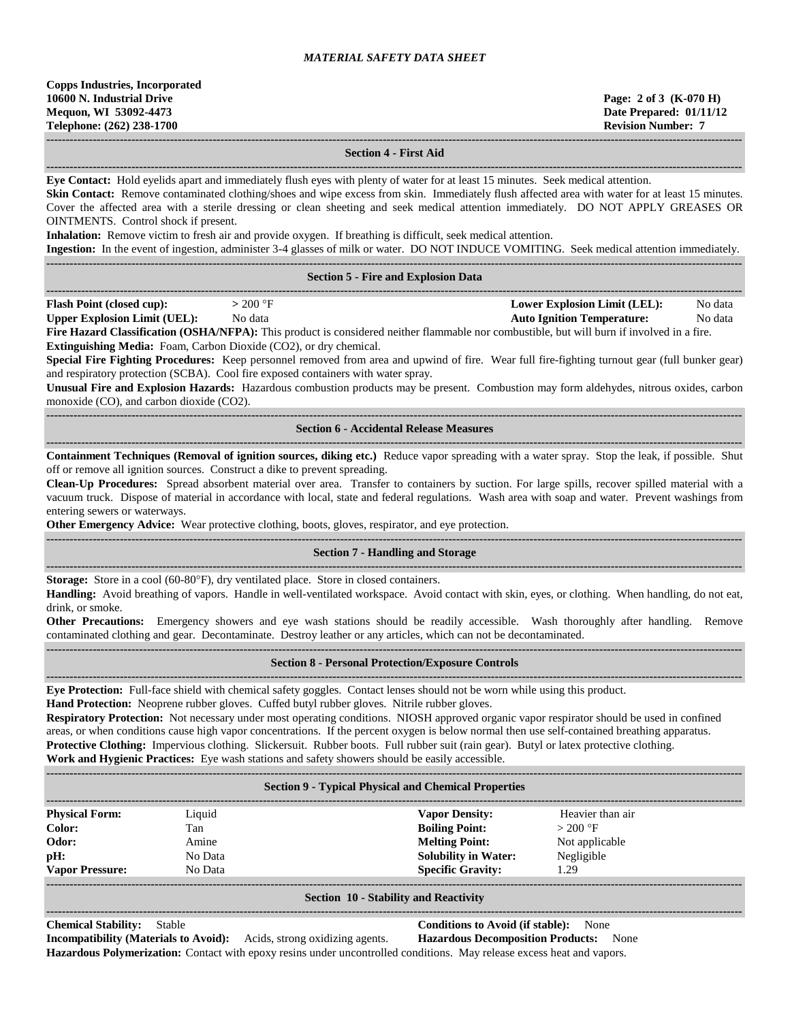#### **Section 4 - First Aid**

**------------------------------------------------------------------------------------------------------------------------------------------------------------------------------------**

**------------------------------------------------------------------------------------------------------------------------------------------------------------------------------------ Eye Contact:** Hold eyelids apart and immediately flush eyes with plenty of water for at least 15 minutes. Seek medical attention. Skin Contact: Remove contaminated clothing/shoes and wipe excess from skin. Immediately flush affected area with water for at least 15 minutes. Cover the affected area with a sterile dressing or clean sheeting and seek medical attention immediately. DO NOT APPLY GREASES OR OINTMENTS. Control shock if present.

**Inhalation:** Remove victim to fresh air and provide oxygen. If breathing is difficult, seek medical attention.

**Ingestion:** In the event of ingestion, administer 3-4 glasses of milk or water. DO NOT INDUCE VOMITING. Seek medical attention immediately.

|                                                                           |                                                                                                                                                                                                                            | <b>Section 5 - Fire and Explosion Data</b>                                                                                                                                                                                                                                                                                                                                                                                                                                                                                                                                                                                                                                                                                                                          |                                                                                                |
|---------------------------------------------------------------------------|----------------------------------------------------------------------------------------------------------------------------------------------------------------------------------------------------------------------------|---------------------------------------------------------------------------------------------------------------------------------------------------------------------------------------------------------------------------------------------------------------------------------------------------------------------------------------------------------------------------------------------------------------------------------------------------------------------------------------------------------------------------------------------------------------------------------------------------------------------------------------------------------------------------------------------------------------------------------------------------------------------|------------------------------------------------------------------------------------------------|
| Flash Point (closed cup):<br>Upper Explosion Limit (UEL):                 | $>200$ °F<br>No data<br>Extinguishing Media: Foam, Carbon Dioxide (CO2), or dry chemical.<br>and respiratory protection (SCBA). Cool fire exposed containers with water spray.<br>monoxide (CO), and carbon dioxide (CO2). | Fire Hazard Classification (OSHA/NFPA): This product is considered neither flammable nor combustible, but will burn if involved in a fire.<br>Special Fire Fighting Procedures: Keep personnel removed from area and upwind of fire. Wear full fire-fighting turnout gear (full bunker gear)<br>Unusual Fire and Explosion Hazards: Hazardous combustion products may be present. Combustion may form aldehydes, nitrous oxides, carbon                                                                                                                                                                                                                                                                                                                             | <b>Lower Explosion Limit (LEL):</b><br>No data<br><b>Auto Ignition Temperature:</b><br>No data |
|                                                                           |                                                                                                                                                                                                                            | <b>Section 6 - Accidental Release Measures</b>                                                                                                                                                                                                                                                                                                                                                                                                                                                                                                                                                                                                                                                                                                                      | ---------------------------------                                                              |
| entering sewers or waterways.                                             | off or remove all ignition sources. Construct a dike to prevent spreading.                                                                                                                                                 | Containment Techniques (Removal of ignition sources, diking etc.) Reduce vapor spreading with a water spray. Stop the leak, if possible. Shut<br>Clean-Up Procedures: Spread absorbent material over area. Transfer to containers by suction. For large spills, recover spilled material with a<br>vacuum truck. Dispose of material in accordance with local, state and federal regulations. Wash area with soap and water. Prevent washings from<br>Other Emergency Advice: Wear protective clothing, boots, gloves, respirator, and eye protection.                                                                                                                                                                                                              |                                                                                                |
|                                                                           |                                                                                                                                                                                                                            | <b>Section 7 - Handling and Storage</b>                                                                                                                                                                                                                                                                                                                                                                                                                                                                                                                                                                                                                                                                                                                             |                                                                                                |
| drink, or smoke.                                                          | Storage: Store in a cool (60-80°F), dry ventilated place. Store in closed containers.                                                                                                                                      | Handling: Avoid breathing of vapors. Handle in well-ventilated workspace. Avoid contact with skin, eyes, or clothing. When handling, do not eat,<br>Other Precautions: Emergency showers and eye wash stations should be readily accessible. Wash thoroughly after handling. Remove<br>contaminated clothing and gear. Decontaminate. Destroy leather or any articles, which can not be decontaminated.                                                                                                                                                                                                                                                                                                                                                             |                                                                                                |
|                                                                           |                                                                                                                                                                                                                            | <b>Section 8 - Personal Protection/Exposure Controls</b>                                                                                                                                                                                                                                                                                                                                                                                                                                                                                                                                                                                                                                                                                                            |                                                                                                |
|                                                                           |                                                                                                                                                                                                                            | Eye Protection: Full-face shield with chemical safety goggles. Contact lenses should not be worn while using this product.<br>Hand Protection: Neoprene rubber gloves. Cuffed butyl rubber gloves. Nitrile rubber gloves.<br>Respiratory Protection: Not necessary under most operating conditions. NIOSH approved organic vapor respirator should be used in confined<br>areas, or when conditions cause high vapor concentrations. If the percent oxygen is below normal then use self-contained breathing apparatus.<br>Protective Clothing: Impervious clothing. Slickersuit. Rubber boots. Full rubber suit (rain gear). Butyl or latex protective clothing.<br>Work and Hygienic Practices: Eye wash stations and safety showers should be easily accessible. |                                                                                                |
|                                                                           |                                                                                                                                                                                                                            | <b>Section 9 - Typical Physical and Chemical Properties</b><br>--------------------------                                                                                                                                                                                                                                                                                                                                                                                                                                                                                                                                                                                                                                                                           |                                                                                                |
| <b>Physical Form:</b><br>Color:<br>Odor:<br>pH:<br><b>Vapor Pressure:</b> | Liquid<br>Tan<br>Amine<br>No Data<br>No Data                                                                                                                                                                               | <b>Vapor Density:</b><br><b>Boiling Point:</b><br><b>Melting Point:</b><br><b>Solubility in Water:</b><br><b>Specific Gravity:</b>                                                                                                                                                                                                                                                                                                                                                                                                                                                                                                                                                                                                                                  | Heavier than air<br>$>200$ °F<br>Not applicable<br>Negligible<br>1.29                          |

**------------------------------------------------------------------------------------------------------------------------------------------------------------------------------------ Section 10 - Stability and Reactivity ------------------------------------------------------------------------------------------------------------------------------------------------------------------------------------**

**Chemical Stability:** Stable **Conditions to Avoid (if stable):** None

**Incompatibility (Materials to Avoid):** Acids, strong oxidizing agents. **Hazardous Decomposition Products:** None **Hazardous Polymerization:** Contact with epoxy resins under uncontrolled conditions. May release excess heat and vapors.